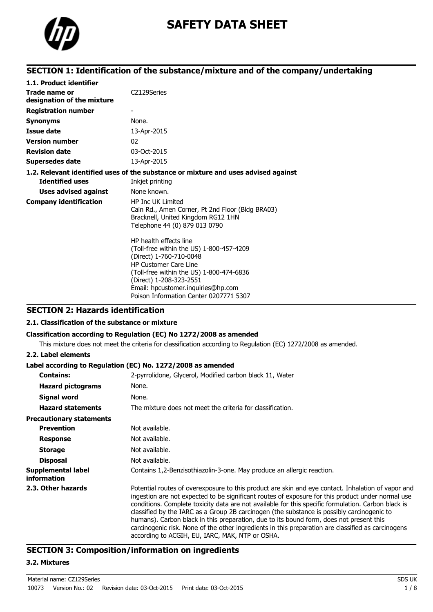

# **SAFETY DATA SHEET**

# **SECTION 1: Identification of the substance/mixture and of the company/undertaking**

| 1.1. Product identifier                     |                                                                                                                                                                                                                                                                                      |
|---------------------------------------------|--------------------------------------------------------------------------------------------------------------------------------------------------------------------------------------------------------------------------------------------------------------------------------------|
| Trade name or<br>designation of the mixture | CZ129Series                                                                                                                                                                                                                                                                          |
| <b>Registration number</b>                  |                                                                                                                                                                                                                                                                                      |
| <b>Synonyms</b>                             | None.                                                                                                                                                                                                                                                                                |
| Issue date                                  | 13-Apr-2015                                                                                                                                                                                                                                                                          |
| <b>Version number</b>                       | 02                                                                                                                                                                                                                                                                                   |
| <b>Revision date</b>                        | 03-Oct-2015                                                                                                                                                                                                                                                                          |
| <b>Supersedes date</b>                      | 13-Apr-2015                                                                                                                                                                                                                                                                          |
|                                             | 1.2. Relevant identified uses of the substance or mixture and uses advised against                                                                                                                                                                                                   |
| <b>Identified uses</b>                      | Inkjet printing                                                                                                                                                                                                                                                                      |
| <b>Uses advised against</b>                 | None known.                                                                                                                                                                                                                                                                          |
| <b>Company identification</b>               | <b>HP Inc UK Limited</b><br>Cain Rd., Amen Corner, Pt 2nd Floor (Bldg BRA03)<br>Bracknell, United Kingdom RG12 1HN<br>Telephone 44 (0) 879 013 0790                                                                                                                                  |
|                                             | HP health effects line<br>(Toll-free within the US) 1-800-457-4209<br>(Direct) 1-760-710-0048<br><b>HP Customer Care Line</b><br>(Toll-free within the US) 1-800-474-6836<br>(Direct) 1-208-323-2551<br>Email: hpcustomer.inquiries@hp.com<br>Poison Information Center 0207771 5307 |

# **SECTION 2: Hazards identification**

### **2.1. Classification of the substance or mixture**

#### **Classification according to Regulation (EC) No 1272/2008 as amended**

This mixture does not meet the criteria for classification according to Regulation (EC) 1272/2008 as amended.

#### **2.2. Label elements**

#### **Label according to Regulation (EC) No. 1272/2008 as amended**

| <b>Contains:</b>                         | 2-pyrrolidone, Glycerol, Modified carbon black 11, Water                                                                                                                                                                                                                                                                                                                                                                                                                                                                                                                                                                                                         |
|------------------------------------------|------------------------------------------------------------------------------------------------------------------------------------------------------------------------------------------------------------------------------------------------------------------------------------------------------------------------------------------------------------------------------------------------------------------------------------------------------------------------------------------------------------------------------------------------------------------------------------------------------------------------------------------------------------------|
| <b>Hazard pictograms</b>                 | None.                                                                                                                                                                                                                                                                                                                                                                                                                                                                                                                                                                                                                                                            |
| <b>Signal word</b>                       | None.                                                                                                                                                                                                                                                                                                                                                                                                                                                                                                                                                                                                                                                            |
| <b>Hazard statements</b>                 | The mixture does not meet the criteria for classification.                                                                                                                                                                                                                                                                                                                                                                                                                                                                                                                                                                                                       |
| <b>Precautionary statements</b>          |                                                                                                                                                                                                                                                                                                                                                                                                                                                                                                                                                                                                                                                                  |
| <b>Prevention</b>                        | Not available.                                                                                                                                                                                                                                                                                                                                                                                                                                                                                                                                                                                                                                                   |
| <b>Response</b>                          | Not available.                                                                                                                                                                                                                                                                                                                                                                                                                                                                                                                                                                                                                                                   |
| <b>Storage</b>                           | Not available.                                                                                                                                                                                                                                                                                                                                                                                                                                                                                                                                                                                                                                                   |
| <b>Disposal</b>                          | Not available.                                                                                                                                                                                                                                                                                                                                                                                                                                                                                                                                                                                                                                                   |
| Supplemental label<br><i>information</i> | Contains 1,2-Benzisothiazolin-3-one. May produce an allergic reaction.                                                                                                                                                                                                                                                                                                                                                                                                                                                                                                                                                                                           |
| 2.3. Other hazards                       | Potential routes of overexposure to this product are skin and eye contact. Inhalation of vapor and<br>ingestion are not expected to be significant routes of exposure for this product under normal use<br>conditions. Complete toxicity data are not available for this specific formulation. Carbon black is<br>classified by the IARC as a Group 2B carcinogen (the substance is possibly carcinogenic to<br>humans). Carbon black in this preparation, due to its bound form, does not present this<br>carcinogenic risk. None of the other ingredients in this preparation are classified as carcinogens<br>according to ACGIH, EU, IARC, MAK, NTP or OSHA. |

# **SECTION 3: Composition/information on ingredients**

# **3.2. Mixtures**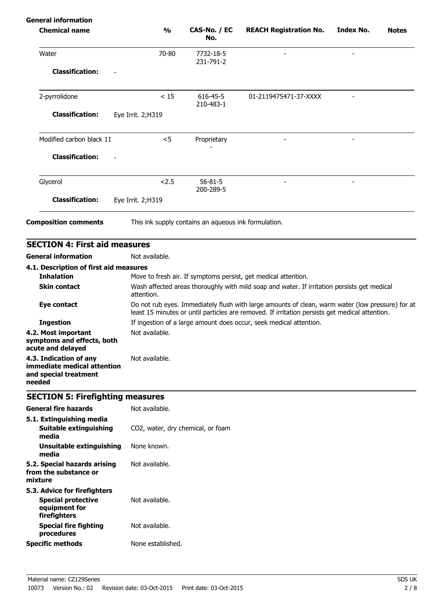| $\frac{0}{0}$<br>70-80                        | CAS-No. / EC<br>No.<br>7732-18-5        | <b>REACH Registration No.</b> | Index No.                                                                                                                                                                                    | <b>Notes</b>                                                                                                                                                                                                                                                                                      |
|-----------------------------------------------|-----------------------------------------|-------------------------------|----------------------------------------------------------------------------------------------------------------------------------------------------------------------------------------------|---------------------------------------------------------------------------------------------------------------------------------------------------------------------------------------------------------------------------------------------------------------------------------------------------|
|                                               |                                         |                               |                                                                                                                                                                                              |                                                                                                                                                                                                                                                                                                   |
|                                               | 231-791-2                               |                               |                                                                                                                                                                                              |                                                                                                                                                                                                                                                                                                   |
|                                               |                                         |                               |                                                                                                                                                                                              |                                                                                                                                                                                                                                                                                                   |
| < 15                                          | 616-45-5<br>210-483-1                   | 01-2119475471-37-XXXX         |                                                                                                                                                                                              |                                                                                                                                                                                                                                                                                                   |
| Eye Irrit. 2;H319                             |                                         |                               |                                                                                                                                                                                              |                                                                                                                                                                                                                                                                                                   |
| $<$ 5                                         | Proprietary                             |                               |                                                                                                                                                                                              |                                                                                                                                                                                                                                                                                                   |
|                                               |                                         |                               |                                                                                                                                                                                              |                                                                                                                                                                                                                                                                                                   |
| 2.5                                           | $56 - 81 - 5$<br>200-289-5              |                               |                                                                                                                                                                                              |                                                                                                                                                                                                                                                                                                   |
| Eye Irrit. 2; H319                            |                                         |                               |                                                                                                                                                                                              |                                                                                                                                                                                                                                                                                                   |
|                                               |                                         |                               |                                                                                                                                                                                              |                                                                                                                                                                                                                                                                                                   |
| <b>SECTION 4: First aid measures</b>          |                                         |                               |                                                                                                                                                                                              |                                                                                                                                                                                                                                                                                                   |
| Not available.                                |                                         |                               |                                                                                                                                                                                              |                                                                                                                                                                                                                                                                                                   |
| 4.1. Description of first aid measures        |                                         |                               |                                                                                                                                                                                              |                                                                                                                                                                                                                                                                                                   |
|                                               |                                         |                               |                                                                                                                                                                                              |                                                                                                                                                                                                                                                                                                   |
| attention.                                    |                                         |                               |                                                                                                                                                                                              |                                                                                                                                                                                                                                                                                                   |
|                                               |                                         |                               |                                                                                                                                                                                              |                                                                                                                                                                                                                                                                                                   |
|                                               |                                         |                               |                                                                                                                                                                                              |                                                                                                                                                                                                                                                                                                   |
| Not available.<br>symptoms and effects, both  |                                         |                               |                                                                                                                                                                                              |                                                                                                                                                                                                                                                                                                   |
| Not available.<br>immediate medical attention |                                         |                               |                                                                                                                                                                                              |                                                                                                                                                                                                                                                                                                   |
|                                               | <b>SECTION 5: Firefighting measures</b> |                               | This ink supply contains an aqueous ink formulation.<br>Move to fresh air. If symptoms persist, get medical attention.<br>If ingestion of a large amount does occur, seek medical attention. | Wash affected areas thoroughly with mild soap and water. If irritation persists get medical<br>Do not rub eyes. Immediately flush with large amounts of clean, warm water (low pressure) for at<br>least 15 minutes or until particles are removed. If irritation persists get medical attention. |

| General fire hazards                                                                       | Not available.                    |
|--------------------------------------------------------------------------------------------|-----------------------------------|
| 5.1. Extinguishing media<br>Suitable extinguishing<br>media                                | CO2, water, dry chemical, or foam |
| Unsuitable extinguishing<br>media                                                          | None known.                       |
| 5.2. Special hazards arising<br>from the substance or<br>mixture                           | Not available.                    |
| 5.3. Advice for firefighters<br><b>Special protective</b><br>equipment for<br>firefighters | Not available.                    |
| Special fire fighting<br>procedures                                                        | Not available.                    |
| <b>Specific methods</b>                                                                    | None established.                 |
|                                                                                            |                                   |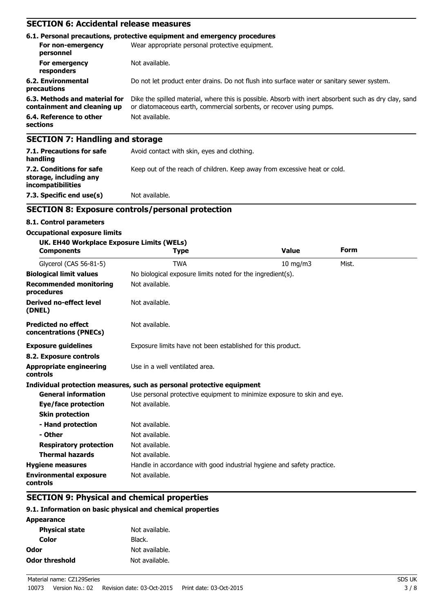# **SECTION 6: Accidental release measures**

|                                                              | 6.1. Personal precautions, protective equipment and emergency procedures                                                                                                     |  |  |
|--------------------------------------------------------------|------------------------------------------------------------------------------------------------------------------------------------------------------------------------------|--|--|
| For non-emergency<br>personnel                               | Wear appropriate personal protective equipment.                                                                                                                              |  |  |
| For emergency<br>responders                                  | Not available.                                                                                                                                                               |  |  |
| 6.2. Environmental<br>precautions                            | Do not let product enter drains. Do not flush into surface water or sanitary sewer system.                                                                                   |  |  |
| 6.3. Methods and material for<br>containment and cleaning up | Dike the spilled material, where this is possible. Absorb with inert absorbent such as dry clay, sand<br>or diatomaceous earth, commercial sorbents, or recover using pumps. |  |  |
| 6.4. Reference to other<br>sections                          | Not available.                                                                                                                                                               |  |  |
| <b>SECTION 7: Handling and storage</b>                       |                                                                                                                                                                              |  |  |
| 7.1. Precautions for safe<br>handling                        | Avoid contact with skin, eyes and clothing.                                                                                                                                  |  |  |

Keep out of the reach of children. Keep away from excessive heat or cold.

**incompatibilities 7.3. Specific end use(s)** Not available.

## **SECTION 8: Exposure controls/personal protection**

#### **8.1. Control parameters**

**7.2. Conditions for safe storage, including any**

#### **Occupational exposure limits**

| UK. EH40 Workplace Exposure Limits (WELs)<br><b>Components</b> | <b>Type</b>                                                             | <b>Value</b>                                                | <b>Form</b> |  |  |
|----------------------------------------------------------------|-------------------------------------------------------------------------|-------------------------------------------------------------|-------------|--|--|
| Glycerol (CAS 56-81-5)                                         | <b>TWA</b><br>$10 \text{ mg/m}$<br>Mist.                                |                                                             |             |  |  |
| <b>Biological limit values</b>                                 | No biological exposure limits noted for the ingredient(s).              |                                                             |             |  |  |
| <b>Recommended monitoring</b><br>procedures                    | Not available.                                                          |                                                             |             |  |  |
| <b>Derived no-effect level</b><br>(DNEL)                       | Not available.                                                          |                                                             |             |  |  |
| <b>Predicted no effect</b><br>concentrations (PNECs)           | Not available.                                                          |                                                             |             |  |  |
| <b>Exposure guidelines</b>                                     |                                                                         | Exposure limits have not been established for this product. |             |  |  |
| 8.2. Exposure controls                                         |                                                                         |                                                             |             |  |  |
| <b>Appropriate engineering</b><br>controls                     | Use in a well ventilated area.                                          |                                                             |             |  |  |
|                                                                | Individual protection measures, such as personal protective equipment   |                                                             |             |  |  |
| <b>General information</b>                                     | Use personal protective equipment to minimize exposure to skin and eye. |                                                             |             |  |  |
| Eye/face protection                                            | Not available.                                                          |                                                             |             |  |  |
| <b>Skin protection</b>                                         |                                                                         |                                                             |             |  |  |
| - Hand protection                                              | Not available.                                                          |                                                             |             |  |  |
| - Other                                                        | Not available.                                                          |                                                             |             |  |  |
| <b>Respiratory protection</b>                                  | Not available.                                                          |                                                             |             |  |  |
| <b>Thermal hazards</b>                                         | Not available.                                                          |                                                             |             |  |  |
| <b>Hygiene measures</b>                                        | Handle in accordance with good industrial hygiene and safety practice.  |                                                             |             |  |  |
| <b>Environmental exposure</b><br>controls                      | Not available.                                                          |                                                             |             |  |  |

# **SECTION 9: Physical and chemical properties**

## **9.1. Information on basic physical and chemical properties**

| Not available. |
|----------------|
| Black.         |
| Not available. |
| Not available. |
|                |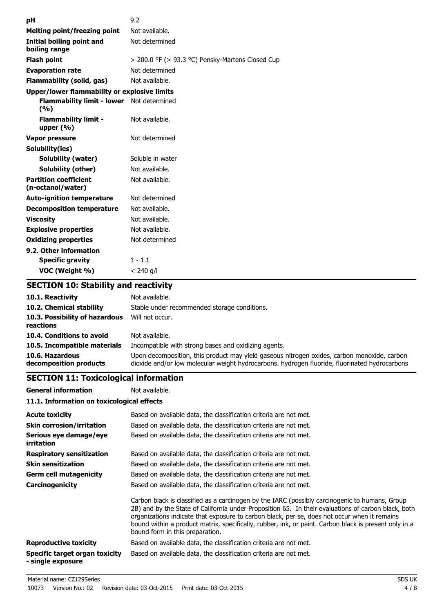| рH                                                | 9.2                                                   |
|---------------------------------------------------|-------------------------------------------------------|
| <b>Melting point/freezing point</b>               | Not available.                                        |
| <b>Initial boiling point and</b><br>boiling range | Not determined                                        |
| <b>Flash point</b>                                | $>$ 200.0 °F ( $>$ 93.3 °C) Pensky-Martens Closed Cup |
| <b>Evaporation rate</b>                           | Not determined                                        |
| Flammability (solid, gas)                         | Not available.                                        |
| Upper/lower flammability or explosive limits      |                                                       |
| Flammability limit - lower Not determined<br>(%)  |                                                       |
| <b>Flammability limit -</b><br>upper $(% )$       | Not available.                                        |
| Vapor pressure                                    | Not determined                                        |
| Solubility(ies)                                   |                                                       |
| <b>Solubility (water)</b>                         | Soluble in water                                      |
| Solubility (other)                                | Not available.                                        |
| <b>Partition coefficient</b><br>(n-octanol/water) | Not available.                                        |
| <b>Auto-ignition temperature</b>                  | Not determined                                        |
| <b>Decomposition temperature</b>                  | Not available.                                        |
| <b>Viscosity</b>                                  | Not available.                                        |
| <b>Explosive properties</b>                       | Not available.                                        |
| <b>Oxidizing properties</b>                       | Not determined                                        |
| 9.2. Other information                            |                                                       |
| <b>Specific gravity</b>                           | $1 - 1.1$                                             |
| VOC (Weight %)                                    | $< 240$ g/l                                           |

# **SECTION 10: Stability and reactivity**

| 10.1. Reactivity                            | Not available.                                                                                                                                                                               |
|---------------------------------------------|----------------------------------------------------------------------------------------------------------------------------------------------------------------------------------------------|
| 10.2. Chemical stability                    | Stable under recommended storage conditions.                                                                                                                                                 |
| 10.3. Possibility of hazardous<br>reactions | Will not occur.                                                                                                                                                                              |
| 10.4. Conditions to avoid                   | Not available.                                                                                                                                                                               |
| 10.5. Incompatible materials                | Incompatible with strong bases and oxidizing agents.                                                                                                                                         |
| 10.6. Hazardous<br>decomposition products   | Upon decomposition, this product may yield gaseous nitrogen oxides, carbon monoxide, carbon<br>dioxide and/or low molecular weight hydrocarbons. hydrogen fluoride, fluorinated hydrocarbons |

# **SECTION 11: Toxicological information**

**General information** Not available. **11.1. Information on toxicological effects**

| <b>Acute toxicity</b><br><b>Skin corrosion/irritation</b><br>Serious eye damage/eye | Based on available data, the classification criteria are not met.<br>Based on available data, the classification criteria are not met.<br>Based on available data, the classification criteria are not met.                                                                                                                                                                                                                                       |
|-------------------------------------------------------------------------------------|---------------------------------------------------------------------------------------------------------------------------------------------------------------------------------------------------------------------------------------------------------------------------------------------------------------------------------------------------------------------------------------------------------------------------------------------------|
| <i>irritation</i><br><b>Respiratory sensitization</b>                               | Based on available data, the classification criteria are not met.                                                                                                                                                                                                                                                                                                                                                                                 |
| <b>Skin sensitization</b>                                                           | Based on available data, the classification criteria are not met.                                                                                                                                                                                                                                                                                                                                                                                 |
| <b>Germ cell mutagenicity</b>                                                       | Based on available data, the classification criteria are not met.                                                                                                                                                                                                                                                                                                                                                                                 |
| Carcinogenicity                                                                     | Based on available data, the classification criteria are not met.                                                                                                                                                                                                                                                                                                                                                                                 |
|                                                                                     | Carbon black is classified as a carcinogen by the IARC (possibly carcinogenic to humans, Group<br>2B) and by the State of California under Proposition 65. In their evaluations of carbon black, both<br>organizations indicate that exposure to carbon black, per se, does not occur when it remains<br>bound within a product matrix, specifically, rubber, ink, or paint. Carbon black is present only in a<br>bound form in this preparation. |
| <b>Reproductive toxicity</b>                                                        | Based on available data, the classification criteria are not met.                                                                                                                                                                                                                                                                                                                                                                                 |
| Specific target organ toxicity<br>- single exposure                                 | Based on available data, the classification criteria are not met.                                                                                                                                                                                                                                                                                                                                                                                 |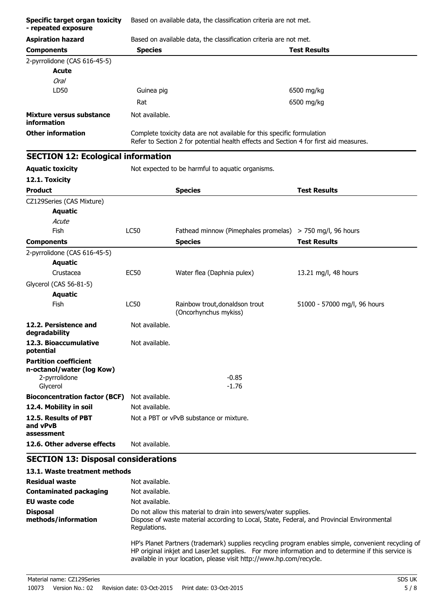| <b>Specific target organ toxicity</b><br>- repeated exposure                           | Based on available data, the classification criteria are not met. |                                                                                                                                                                 |                              |
|----------------------------------------------------------------------------------------|-------------------------------------------------------------------|-----------------------------------------------------------------------------------------------------------------------------------------------------------------|------------------------------|
| <b>Aspiration hazard</b>                                                               | Based on available data, the classification criteria are not met. |                                                                                                                                                                 |                              |
| <b>Components</b>                                                                      | <b>Species</b>                                                    |                                                                                                                                                                 | <b>Test Results</b>          |
| 2-pyrrolidone (CAS 616-45-5)                                                           |                                                                   |                                                                                                                                                                 |                              |
| <b>Acute</b>                                                                           |                                                                   |                                                                                                                                                                 |                              |
| <b>Oral</b>                                                                            |                                                                   |                                                                                                                                                                 |                              |
| LD50                                                                                   | Guinea pig                                                        |                                                                                                                                                                 | 6500 mg/kg                   |
|                                                                                        | Rat                                                               |                                                                                                                                                                 | 6500 mg/kg                   |
| Mixture versus substance<br>information                                                | Not available.                                                    |                                                                                                                                                                 |                              |
| <b>Other information</b>                                                               |                                                                   | Complete toxicity data are not available for this specific formulation<br>Refer to Section 2 for potential health effects and Section 4 for first aid measures. |                              |
| <b>SECTION 12: Ecological information</b>                                              |                                                                   |                                                                                                                                                                 |                              |
| <b>Aquatic toxicity</b>                                                                |                                                                   | Not expected to be harmful to aquatic organisms.                                                                                                                |                              |
| 12.1. Toxicity                                                                         |                                                                   |                                                                                                                                                                 |                              |
| <b>Product</b>                                                                         |                                                                   | <b>Species</b>                                                                                                                                                  | <b>Test Results</b>          |
| CZ129Series (CAS Mixture)                                                              |                                                                   |                                                                                                                                                                 |                              |
| <b>Aquatic</b>                                                                         |                                                                   |                                                                                                                                                                 |                              |
| Acute                                                                                  |                                                                   |                                                                                                                                                                 |                              |
| Fish                                                                                   | <b>LC50</b>                                                       | Fathead minnow (Pimephales promelas) > 750 mg/l, 96 hours                                                                                                       |                              |
| <b>Components</b>                                                                      |                                                                   | <b>Species</b>                                                                                                                                                  | <b>Test Results</b>          |
| 2-pyrrolidone (CAS 616-45-5)                                                           |                                                                   |                                                                                                                                                                 |                              |
| <b>Aquatic</b>                                                                         |                                                                   |                                                                                                                                                                 |                              |
| Crustacea                                                                              | <b>EC50</b>                                                       | Water flea (Daphnia pulex)                                                                                                                                      | 13.21 mg/l, 48 hours         |
| Glycerol (CAS 56-81-5)                                                                 |                                                                   |                                                                                                                                                                 |                              |
| <b>Aquatic</b>                                                                         |                                                                   |                                                                                                                                                                 |                              |
| Fish                                                                                   | LC50                                                              | Rainbow trout, donaldson trout<br>(Oncorhynchus mykiss)                                                                                                         | 51000 - 57000 mg/l, 96 hours |
| 12.2. Persistence and<br>degradability                                                 | Not available.                                                    |                                                                                                                                                                 |                              |
| 12.3. Bioaccumulative<br>potential                                                     | Not available.                                                    |                                                                                                                                                                 |                              |
| <b>Partition coefficient</b><br>n-octanol/water (log Kow)<br>2-pyrrolidone<br>Glycerol |                                                                   | $-0.85$<br>$-1.76$                                                                                                                                              |                              |
| <b>Bioconcentration factor (BCF)</b>                                                   | Not available.                                                    |                                                                                                                                                                 |                              |
| 12.4. Mobility in soil                                                                 | Not available.                                                    |                                                                                                                                                                 |                              |
| 12.5. Results of PBT<br>and vPvB                                                       |                                                                   | Not a PBT or vPvB substance or mixture.                                                                                                                         |                              |
| assessment<br>12.6. Other adverse effects                                              | Not available.                                                    |                                                                                                                                                                 |                              |
|                                                                                        |                                                                   |                                                                                                                                                                 |                              |
| <b>SECTION 13: Disposal considerations</b><br>13.1. Waste treatment methods            |                                                                   |                                                                                                                                                                 |                              |

| Residual waste                         | Not available.                                                                                                                                                                                                                                                                   |
|----------------------------------------|----------------------------------------------------------------------------------------------------------------------------------------------------------------------------------------------------------------------------------------------------------------------------------|
| <b>Contaminated packaging</b>          | Not available.                                                                                                                                                                                                                                                                   |
| EU waste code                          | Not available.                                                                                                                                                                                                                                                                   |
| <b>Disposal</b><br>methods/information | Do not allow this material to drain into sewers/water supplies.<br>Dispose of waste material according to Local, State, Federal, and Provincial Environmental<br>Regulations.                                                                                                    |
|                                        | HP's Planet Partners (trademark) supplies recycling program enables simple, convenient recycling of<br>HP original inkjet and LaserJet supplies. For more information and to determine if this service is<br>available in your location, please visit http://www.hp.com/recycle. |
|                                        |                                                                                                                                                                                                                                                                                  |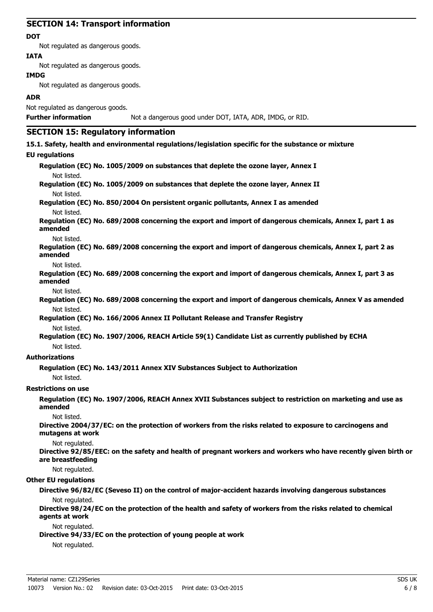# **SECTION 14: Transport information**

#### **DOT**

Not regulated as dangerous goods.

#### **IATA**

Not regulated as dangerous goods.

# **IMDG**

Not regulated as dangerous goods.

#### **ADR**

Not regulated as dangerous goods.

#### **Further information** Not a dangerous good under DOT, IATA, ADR, IMDG, or RID.

# **SECTION 15: Regulatory information**

#### **15.1. Safety, health and environmental regulations/legislation specific for the substance or mixture**

#### **EU regulations**

**Regulation (EC) No. 1005/2009 on substances that deplete the ozone layer, Annex I** Not listed.

**Regulation (EC) No. 1005/2009 on substances that deplete the ozone layer, Annex II** Not listed.

**Regulation (EC) No. 850/2004 On persistent organic pollutants, Annex I as amended** Not listed.

**Regulation (EC) No. 689/2008 concerning the export and import of dangerous chemicals, Annex I, part 1 as amended**

#### Not listed.

**Regulation (EC) No. 689/2008 concerning the export and import of dangerous chemicals, Annex I, part 2 as amended**

#### Not listed.

**Regulation (EC) No. 689/2008 concerning the export and import of dangerous chemicals, Annex I, part 3 as amended**

#### Not listed.

**Regulation (EC) No. 689/2008 concerning the export and import of dangerous chemicals, Annex V as amended** Not listed.

**Regulation (EC) No. 166/2006 Annex II Pollutant Release and Transfer Registry**

Not listed.

**Regulation (EC) No. 1907/2006, REACH Article 59(1) Candidate List as currently published by ECHA** Not listed.

#### **Authorizations**

**Regulation (EC) No. 143/2011 Annex XIV Substances Subject to Authorization**

Not listed.

#### **Restrictions on use**

**Regulation (EC) No. 1907/2006, REACH Annex XVII Substances subject to restriction on marketing and use as amended**

Not listed.

**Directive 2004/37/EC: on the protection of workers from the risks related to exposure to carcinogens and mutagens at work**

#### Not regulated.

**Directive 92/85/EEC: on the safety and health of pregnant workers and workers who have recently given birth or are breastfeeding**

Not regulated.

#### **Other EU regulations**

**Directive 96/82/EC (Seveso II) on the control of major-accident hazards involving dangerous substances** Not regulated.

**Directive 98/24/EC on the protection of the health and safety of workers from the risks related to chemical agents at work**

#### Not regulated.

**Directive 94/33/EC on the protection of young people at work**

Not regulated.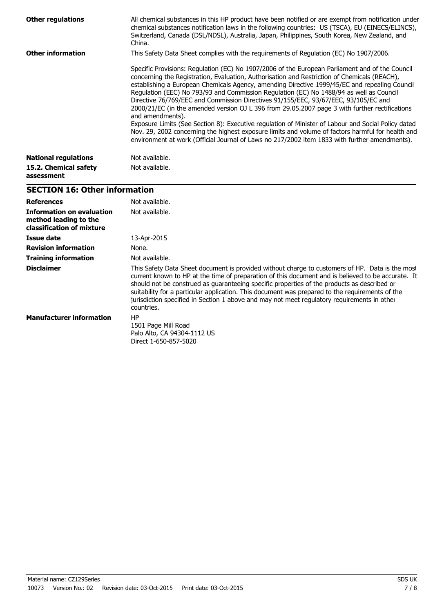| <b>Other regulations</b>            | All chemical substances in this HP product have been notified or are exempt from notification under<br>chemical substances notification laws in the following countries: US (TSCA), EU (EINECS/ELINCS),<br>Switzerland, Canada (DSL/NDSL), Australia, Japan, Philippines, South Korea, New Zealand, and<br>China.                                                                                                                                                                                                                                                                                                                                                                                                                                                                                                                                                                                                     |
|-------------------------------------|-----------------------------------------------------------------------------------------------------------------------------------------------------------------------------------------------------------------------------------------------------------------------------------------------------------------------------------------------------------------------------------------------------------------------------------------------------------------------------------------------------------------------------------------------------------------------------------------------------------------------------------------------------------------------------------------------------------------------------------------------------------------------------------------------------------------------------------------------------------------------------------------------------------------------|
| <b>Other information</b>            | This Safety Data Sheet complies with the requirements of Requlation (EC) No 1907/2006.                                                                                                                                                                                                                                                                                                                                                                                                                                                                                                                                                                                                                                                                                                                                                                                                                                |
|                                     | Specific Provisions: Regulation (EC) No 1907/2006 of the European Parliament and of the Council<br>concerning the Registration, Evaluation, Authorisation and Restriction of Chemicals (REACH),<br>establishing a European Chemicals Agency, amending Directive 1999/45/EC and repealing Council<br>Regulation (EEC) No 793/93 and Commission Regulation (EC) No 1488/94 as well as Council<br>Directive 76/769/EEC and Commission Directives 91/155/EEC, 93/67/EEC, 93/105/EC and<br>2000/21/EC (in the amended version OJ L 396 from 29.05.2007 page 3 with further rectifications<br>and amendments).<br>Exposure Limits (See Section 8): Executive regulation of Minister of Labour and Social Policy dated<br>Nov. 29, 2002 concerning the highest exposure limits and volume of factors harmful for health and<br>environment at work (Official Journal of Laws no 217/2002 item 1833 with further amendments). |
| <b>National regulations</b>         | Not available.                                                                                                                                                                                                                                                                                                                                                                                                                                                                                                                                                                                                                                                                                                                                                                                                                                                                                                        |
| 15.2. Chemical safety<br>assessment | Not available.                                                                                                                                                                                                                                                                                                                                                                                                                                                                                                                                                                                                                                                                                                                                                                                                                                                                                                        |

# **SECTION 16: Other information**

| <b>References</b>                                                               | Not available.                                                                                                                                                                                                                                                                                                                                                                                                                                                                                                       |
|---------------------------------------------------------------------------------|----------------------------------------------------------------------------------------------------------------------------------------------------------------------------------------------------------------------------------------------------------------------------------------------------------------------------------------------------------------------------------------------------------------------------------------------------------------------------------------------------------------------|
| Information on evaluation<br>method leading to the<br>classification of mixture | Not available.                                                                                                                                                                                                                                                                                                                                                                                                                                                                                                       |
| Issue date                                                                      | 13-Apr-2015                                                                                                                                                                                                                                                                                                                                                                                                                                                                                                          |
| <b>Revision information</b>                                                     | None.                                                                                                                                                                                                                                                                                                                                                                                                                                                                                                                |
| <b>Training information</b>                                                     | Not available.                                                                                                                                                                                                                                                                                                                                                                                                                                                                                                       |
| <b>Disclaimer</b>                                                               | This Safety Data Sheet document is provided without charge to customers of HP. Data is the most<br>current known to HP at the time of preparation of this document and is believed to be accurate. It<br>should not be construed as quaranteeing specific properties of the products as described or<br>suitability for a particular application. This document was prepared to the requirements of the<br>jurisdiction specified in Section 1 above and may not meet regulatory requirements in other<br>countries. |
| <b>Manufacturer information</b>                                                 | HP<br>1501 Page Mill Road<br>Palo Alto, CA 94304-1112 US<br>Direct 1-650-857-5020                                                                                                                                                                                                                                                                                                                                                                                                                                    |